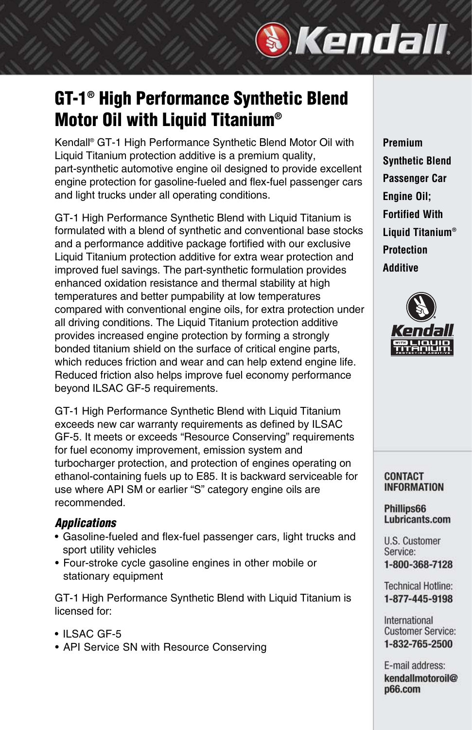# **GT-1® High Performance Synthetic Blend Motor Oil with Liquid Titanium®**

Kendall® GT-1 High Performance Synthetic Blend Motor Oil with Liquid Titanium protection additive is a premium quality, part-synthetic automotive engine oil designed to provide excellent engine protection for gasoline-fueled and flex-fuel passenger cars and light trucks under all operating conditions.

GT-1 High Performance Synthetic Blend with Liquid Titanium is formulated with a blend of synthetic and conventional base stocks and a performance additive package fortified with our exclusive Liquid Titanium protection additive for extra wear protection and improved fuel savings. The part-synthetic formulation provides enhanced oxidation resistance and thermal stability at high temperatures and better pumpability at low temperatures compared with conventional engine oils, for extra protection under all driving conditions. The Liquid Titanium protection additive provides increased engine protection by forming a strongly bonded titanium shield on the surface of critical engine parts, which reduces friction and wear and can help extend engine life. Reduced friction also helps improve fuel economy performance beyond ILSAC GF-5 requirements.

GT-1 High Performance Synthetic Blend with Liquid Titanium exceeds new car warranty requirements as defined by ILSAC GF-5. It meets or exceeds "Resource Conserving" requirements for fuel economy improvement, emission system and turbocharger protection, and protection of engines operating on ethanol-containing fuels up to E85. It is backward serviceable for use where API SM or earlier "S" category engine oils are recommended.

### *Applications*

- Gasoline-fueled and flex-fuel passenger cars, light trucks and sport utility vehicles
- Four-stroke cycle gasoline engines in other mobile or stationary equipment

GT-1 High Performance Synthetic Blend with Liquid Titanium is licensed for:

- ILSAC GF-5
- API Service SN with Resource Conserving

**Premium Synthetic Blend Passenger Car Engine Oil; Fortified With Liquid Titanium® Protection Additive**

*Skendall* 



**CONTACT INFORMATION** 

### Phillips66 Lubricants.com

**U.S. Customer** Service: 1-800-368-7128

**Technical Hotline:** 1-877-445-9198

International **Customer Service:** 1-832-765-2500

E-mail address: kendallmotoroil@ p66.com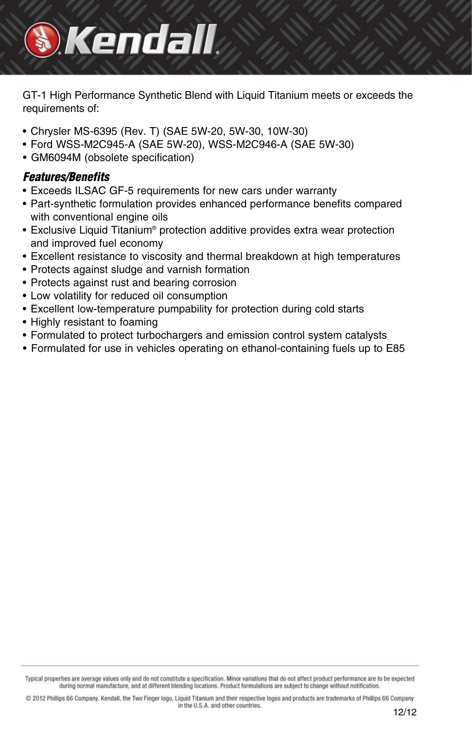# *Mendall*

GT-1 High Performance Synthetic Blend with Liquid Titanium meets or exceeds the requirements of:

- Chrysler MS-6395 (Rev. T) (SAE 5W-20, 5W-30, 10W-30)
- Ford WSS-M2C945-A (SAE 5W-20), WSS-M2C946-A (SAE 5W-30)
- GM6094M (obsolete specification)

### *Features/Benefits*

- Exceeds ILSAC GF-5 requirements for new cars under warranty
- Part-synthetic formulation provides enhanced performance benefits compared with conventional engine oils
- Exclusive Liquid Titanium® protection additive provides extra wear protection and improved fuel economy
- Excellent resistance to viscosity and thermal breakdown at high temperatures
- Protects against sludge and varnish formation
- Protects against rust and bearing corrosion
- Low volatility for reduced oil consumption
- Excellent low-temperature pumpability for protection during cold starts
- Highly resistant to foaming
- Formulated to protect turbochargers and emission control system catalysts
- Formulated for use in vehicles operating on ethanol-containing fuels up to E85

Typical properties are average values only and do not constitute a specification. Minor variations that do not affect product performance are to be expected during normal manufacture, and at different blending locations. Product formulations are subject to change without notification.